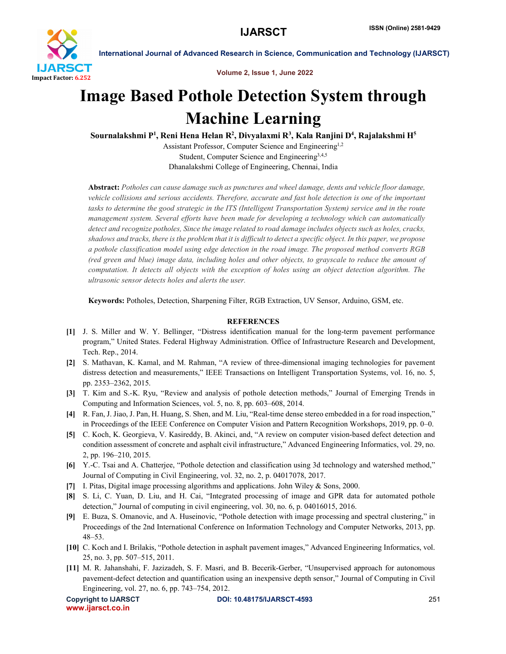

International Journal of Advanced Research in Science, Communication and Technology (IJARSCT)

Volume 2, Issue 1, June 2022

## Image Based Pothole Detection System through Machine Learning

Sournalakshmi P<sup>1</sup>, Reni Hena Helan R<sup>2</sup>, Divyalaxmi R<sup>3</sup>, Kala Ranjini D<sup>4</sup>, Rajalakshmi H<sup>5</sup>

Assistant Professor, Computer Science and Engineering<sup>1,2</sup> Student, Computer Science and Engineering3,4,5 Dhanalakshmi College of Engineering, Chennai, India

Abstract: *Potholes can cause damage such as punctures and wheel damage, dents and vehicle floor damage, vehicle collisions and serious accidents. Therefore, accurate and fast hole detection is one of the important* tasks to determine the good strategic in the ITS (Intelligent Transportation System) service and in the route *management system. Several efforts have been made for developing a technology which can automatically* detect and recognize potholes. Since the image related to road damage includes objects such as holes, cracks, shadows and tracks, there is the problem that it is difficult to detect a specific object. In this paper, we propose *a pothole classification model using edge detection in the road image. The proposed method converts RGB* (red green and blue) image data, including holes and other objects, to grayscale to reduce the amount of *computation. It detects all objects with the exception of holes using an object detection algorithm. The ultrasonic sensor detects holes and alerts the user.*

Keywords: Potholes, Detection, Sharpening Filter, RGB Extraction, UV Sensor, Arduino, GSM, etc.

## **REFERENCES**

- [1] J. S. Miller and W. Y. Bellinger, "Distress identification manual for the long-term pavement performance program," United States. Federal Highway Administration. Office of Infrastructure Research and Development, Tech. Rep., 2014.
- [2] S. Mathavan, K. Kamal, and M. Rahman, "A review of three-dimensional imaging technologies for pavement distress detection and measurements," IEEE Transactions on Intelligent Transportation Systems, vol. 16, no. 5, pp. 2353–2362, 2015.
- [3] T. Kim and S.-K. Ryu, "Review and analysis of pothole detection methods," Journal of Emerging Trends in Computing and Information Sciences, vol. 5, no. 8, pp. 603–608, 2014.
- [4] R. Fan, J. Jiao, J. Pan, H. Huang, S. Shen, and M. Liu, "Real-time dense stereo embedded in a for road inspection," in Proceedings of the IEEE Conference on Computer Vision and Pattern Recognition Workshops, 2019, pp. 0–0.
- [5] C. Koch, K. Georgieva, V. Kasireddy, B. Akinci, and, "A review on computer vision-based defect detection and condition assessment of concrete and asphalt civil infrastructure," Advanced Engineering Informatics, vol. 29, no. 2, pp. 196–210, 2015.
- [6] Y.-C. Tsai and A. Chatterjee, "Pothole detection and classification using 3d technology and watershed method," Journal of Computing in Civil Engineering, vol. 32, no. 2, p. 04017078, 2017.
- [7] I. Pitas, Digital image processing algorithms and applications. John Wiley & Sons, 2000.
- [8] S. Li, C. Yuan, D. Liu, and H. Cai, "Integrated processing of image and GPR data for automated pothole detection," Journal of computing in civil engineering, vol. 30, no. 6, p. 04016015, 2016.
- [9] E. Buza, S. Omanovic, and A. Huseinovic, "Pothole detection with image processing and spectral clustering," in Proceedings of the 2nd International Conference on Information Technology and Computer Networks, 2013, pp. 48–53.
- [10] C. Koch and I. Brilakis, "Pothole detection in asphalt pavement images," Advanced Engineering Informatics, vol. 25, no. 3, pp. 507–515, 2011.
- [11] M. R. Jahanshahi, F. Jazizadeh, S. F. Masri, and B. Becerik-Gerber, "Unsupervised approach for autonomous pavement-defect detection and quantification using an inexpensive depth sensor," Journal of Computing in Civil Engineering, vol. 27, no. 6, pp. 743–754, 2012.

www.ijarsct.co.in